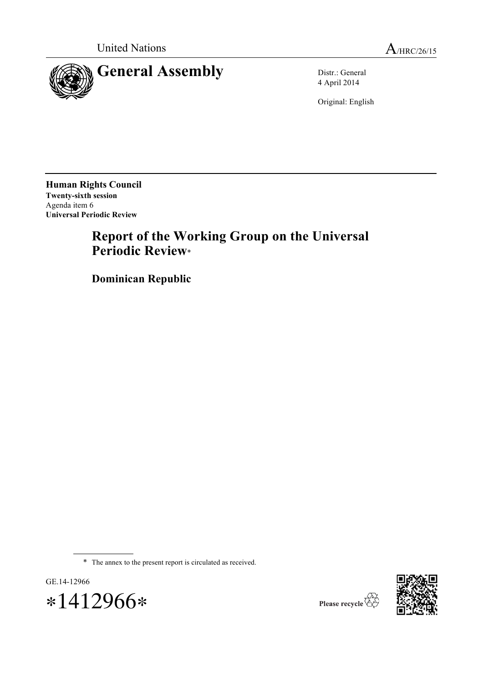



4 April 2014

Original: English

**Human Rights Council Twenty-sixth session** Agenda item 6 **Universal Periodic Review**

# **Report of the Working Group on the Universal Periodic Review**\*

**Dominican Republic**

\* The annex to the present report is circulated as received.





Please recycle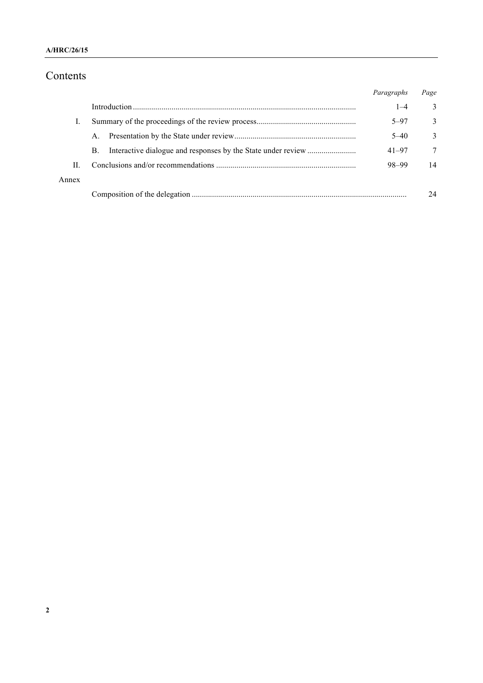### **A/HRC/26/15**

# Contents

|       |             | Paragraphs | Page   |
|-------|-------------|------------|--------|
|       |             | $1 - 4$    | 3      |
|       |             | $5 - 97$   | 3      |
|       | $A_{\cdot}$ | $5 - 40$   | 3      |
|       | B.          | $41 - 97$  | $\tau$ |
| П     |             | 98-99      | 14     |
| Annex |             |            |        |
|       |             |            | 24     |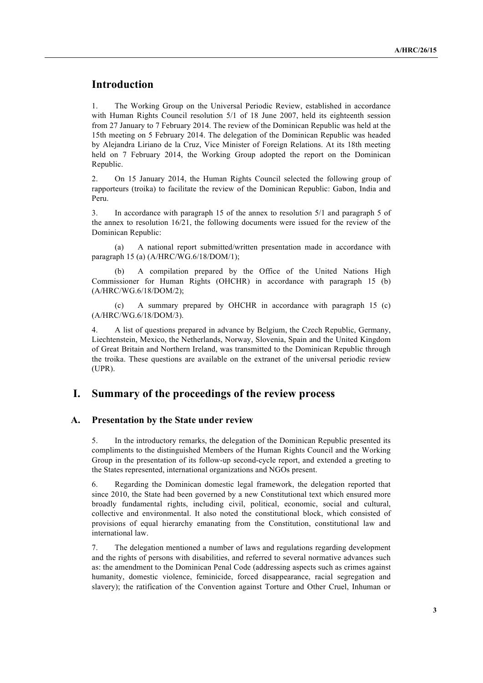# **Introduction**

1. The Working Group on the Universal Periodic Review, established in accordance with Human Rights Council resolution 5/1 of 18 June 2007, held its eighteenth session from 27 January to 7 February 2014. The review of the Dominican Republic was held at the 15th meeting on 5 February 2014. The delegation of the Dominican Republic was headed by Alejandra Liriano de la Cruz, Vice Minister of Foreign Relations. At its 18th meeting held on 7 February 2014, the Working Group adopted the report on the Dominican Republic.

2. On 15 January 2014, the Human Rights Council selected the following group of rapporteurs (troika) to facilitate the review of the Dominican Republic: Gabon, India and Peru.

3. In accordance with paragraph 15 of the annex to resolution 5/1 and paragraph 5 of the annex to resolution 16/21, the following documents were issued for the review of the Dominican Republic:

(a) A national report submitted/written presentation made in accordance with paragraph 15 (a) (A/HRC/WG.6/18/DOM/1);

A compilation prepared by the Office of the United Nations High Commissioner for Human Rights (OHCHR) in accordance with paragraph 15 (b) (A/HRC/WG.6/18/DOM/2);

(c) A summary prepared by OHCHR in accordance with paragraph 15 (c) (A/HRC/WG.6/18/DOM/3).

4. A list of questions prepared in advance by Belgium, the Czech Republic, Germany, Liechtenstein, Mexico, the Netherlands, Norway, Slovenia, Spain and the United Kingdom of Great Britain and Northern Ireland, was transmitted to the Dominican Republic through the troika. These questions are available on the extranet of the universal periodic review (UPR).

## **I. Summary of the proceedings of the review process**

#### **A. Presentation by the State under review**

5. In the introductory remarks, the delegation of the Dominican Republic presented its compliments to the distinguished Members of the Human Rights Council and the Working Group in the presentation of its follow-up second-cycle report, and extended a greeting to the States represented, international organizations and NGOs present.

6. Regarding the Dominican domestic legal framework, the delegation reported that since 2010, the State had been governed by a new Constitutional text which ensured more broadly fundamental rights, including civil, political, economic, social and cultural, collective and environmental. It also noted the constitutional block, which consisted of provisions of equal hierarchy emanating from the Constitution, constitutional law and international law.

7. The delegation mentioned a number of laws and regulations regarding development and the rights of persons with disabilities, and referred to several normative advances such as: the amendment to the Dominican Penal Code (addressing aspects such as crimes against humanity, domestic violence, feminicide, forced disappearance, racial segregation and slavery); the ratification of the Convention against Torture and Other Cruel, Inhuman or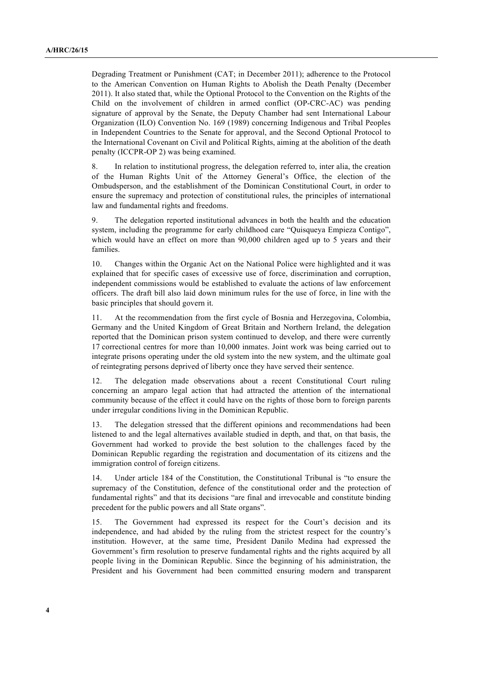Degrading Treatment or Punishment (CAT; in December 2011); adherence to the Protocol to the American Convention on Human Rights to Abolish the Death Penalty (December 2011). It also stated that, while the Optional Protocol to the Convention on the Rights of the Child on the involvement of children in armed conflict (OP-CRC-AC) was pending signature of approval by the Senate, the Deputy Chamber had sent International Labour Organization (ILO) Convention No. 169 (1989) concerning Indigenous and Tribal Peoples in Independent Countries to the Senate for approval, and the Second Optional Protocol to the International Covenant on Civil and Political Rights, aiming at the abolition of the death penalty (ICCPR-OP 2) was being examined.

8. In relation to institutional progress, the delegation referred to, inter alia, the creation of the Human Rights Unit of the Attorney General's Office, the election of the Ombudsperson, and the establishment of the Dominican Constitutional Court, in order to ensure the supremacy and protection of constitutional rules, the principles of international law and fundamental rights and freedoms.

9. The delegation reported institutional advances in both the health and the education system, including the programme for early childhood care "Quisqueya Empieza Contigo", which would have an effect on more than 90,000 children aged up to 5 years and their families.

10. Changes within the Organic Act on the National Police were highlighted and it was explained that for specific cases of excessive use of force, discrimination and corruption, independent commissions would be established to evaluate the actions of law enforcement officers. The draft bill also laid down minimum rules for the use of force, in line with the basic principles that should govern it.

11. At the recommendation from the first cycle of Bosnia and Herzegovina, Colombia, Germany and the United Kingdom of Great Britain and Northern Ireland, the delegation reported that the Dominican prison system continued to develop, and there were currently 17 correctional centres for more than 10,000 inmates. Joint work was being carried out to integrate prisons operating under the old system into the new system, and the ultimate goal of reintegrating persons deprived of liberty once they have served their sentence.

12. The delegation made observations about a recent Constitutional Court ruling concerning an amparo legal action that had attracted the attention of the international community because of the effect it could have on the rights of those born to foreign parents under irregular conditions living in the Dominican Republic.

13. The delegation stressed that the different opinions and recommendations had been listened to and the legal alternatives available studied in depth, and that, on that basis, the Government had worked to provide the best solution to the challenges faced by the Dominican Republic regarding the registration and documentation of its citizens and the immigration control of foreign citizens.

14. Under article 184 of the Constitution, the Constitutional Tribunal is "to ensure the supremacy of the Constitution, defence of the constitutional order and the protection of fundamental rights" and that its decisions "are final and irrevocable and constitute binding precedent for the public powers and all State organs".

15. The Government had expressed its respect for the Court's decision and its independence, and had abided by the ruling from the strictest respect for the country's institution. However, at the same time, President Danilo Medina had expressed the Government's firm resolution to preserve fundamental rights and the rights acquired by all people living in the Dominican Republic. Since the beginning of his administration, the President and his Government had been committed ensuring modern and transparent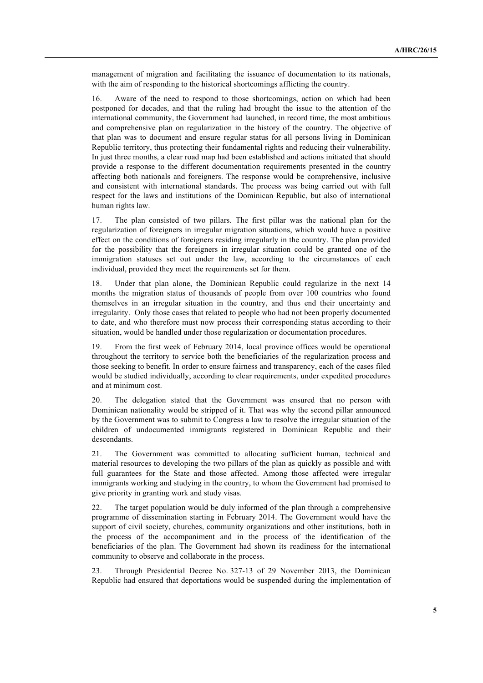management of migration and facilitating the issuance of documentation to its nationals, with the aim of responding to the historical shortcomings afflicting the country.

16. Aware of the need to respond to those shortcomings, action on which had been postponed for decades, and that the ruling had brought the issue to the attention of the international community, the Government had launched, in record time, the most ambitious and comprehensive plan on regularization in the history of the country. The objective of that plan was to document and ensure regular status for all persons living in Dominican Republic territory, thus protecting their fundamental rights and reducing their vulnerability. In just three months, a clear road map had been established and actions initiated that should provide a response to the different documentation requirements presented in the country affecting both nationals and foreigners. The response would be comprehensive, inclusive and consistent with international standards. The process was being carried out with full respect for the laws and institutions of the Dominican Republic, but also of international human rights law.

17. The plan consisted of two pillars. The first pillar was the national plan for the regularization of foreigners in irregular migration situations, which would have a positive effect on the conditions of foreigners residing irregularly in the country. The plan provided for the possibility that the foreigners in irregular situation could be granted one of the immigration statuses set out under the law, according to the circumstances of each individual, provided they meet the requirements set for them.

18. Under that plan alone, the Dominican Republic could regularize in the next 14 months the migration status of thousands of people from over 100 countries who found themselves in an irregular situation in the country, and thus end their uncertainty and irregularity. Only those cases that related to people who had not been properly documented to date, and who therefore must now process their corresponding status according to their situation, would be handled under those regularization or documentation procedures.

19. From the first week of February 2014, local province offices would be operational throughout the territory to service both the beneficiaries of the regularization process and those seeking to benefit. In order to ensure fairness and transparency, each of the cases filed would be studied individually, according to clear requirements, under expedited procedures and at minimum cost.

20. The delegation stated that the Government was ensured that no person with Dominican nationality would be stripped of it. That was why the second pillar announced by the Government was to submit to Congress a law to resolve the irregular situation of the children of undocumented immigrants registered in Dominican Republic and their descendants.

21. The Government was committed to allocating sufficient human, technical and material resources to developing the two pillars of the plan as quickly as possible and with full guarantees for the State and those affected. Among those affected were irregular immigrants working and studying in the country, to whom the Government had promised to give priority in granting work and study visas.

22. The target population would be duly informed of the plan through a comprehensive programme of dissemination starting in February 2014. The Government would have the support of civil society, churches, community organizations and other institutions, both in the process of the accompaniment and in the process of the identification of the beneficiaries of the plan. The Government had shown its readiness for the international community to observe and collaborate in the process.

23. Through Presidential Decree No. 327-13 of 29 November 2013, the Dominican Republic had ensured that deportations would be suspended during the implementation of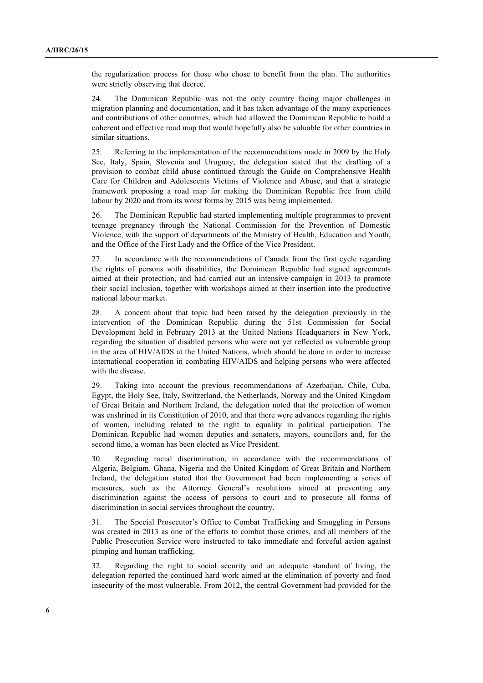the regularization process for those who chose to benefit from the plan. The authorities were strictly observing that decree.

24. The Dominican Republic was not the only country facing major challenges in migration planning and documentation, and it has taken advantage of the many experiences and contributions of other countries, which had allowed the Dominican Republic to build a coherent and effective road map that would hopefully also be valuable for other countries in similar situations.

25. Referring to the implementation of the recommendations made in 2009 by the Holy See, Italy, Spain, Slovenia and Uruguay, the delegation stated that the drafting of a provision to combat child abuse continued through the Guide on Comprehensive Health Care for Children and Adolescents Victims of Violence and Abuse, and that a strategic framework proposing a road map for making the Dominican Republic free from child labour by 2020 and from its worst forms by 2015 was being implemented.

26. The Dominican Republic had started implementing multiple programmes to prevent teenage pregnancy through the National Commission for the Prevention of Domestic Violence, with the support of departments of the Ministry of Health, Education and Youth, and the Office of the First Lady and the Office of the Vice President.

27. In accordance with the recommendations of Canada from the first cycle regarding the rights of persons with disabilities, the Dominican Republic had signed agreements aimed at their protection, and had carried out an intensive campaign in 2013 to promote their social inclusion, together with workshops aimed at their insertion into the productive national labour market.

28. A concern about that topic had been raised by the delegation previously in the intervention of the Dominican Republic during the 51st Commission for Social Development held in February 2013 at the United Nations Headquarters in New York, regarding the situation of disabled persons who were not yet reflected as vulnerable group in the area of HIV/AIDS at the United Nations, which should be done in order to increase international cooperation in combating HIV/AIDS and helping persons who were affected with the disease.

29. Taking into account the previous recommendations of Azerbaijan, Chile, Cuba, Egypt, the Holy See, Italy, Switzerland, the Netherlands, Norway and the United Kingdom of Great Britain and Northern Ireland, the delegation noted that the protection of women was enshrined in its Constitution of 2010, and that there were advances regarding the rights of women, including related to the right to equality in political participation. The Dominican Republic had women deputies and senators, mayors, councilors and, for the second time, a woman has been elected as Vice President.

30. Regarding racial discrimination, in accordance with the recommendations of Algeria, Belgium, Ghana, Nigeria and the United Kingdom of Great Britain and Northern Ireland, the delegation stated that the Government had been implementing a series of measures, such as the Attorney General's resolutions aimed at preventing any discrimination against the access of persons to court and to prosecute all forms of discrimination in social services throughout the country.

31. The Special Prosecutor's Office to Combat Trafficking and Smuggling in Persons was created in 2013 as one of the efforts to combat those crimes, and all members of the Public Prosecution Service were instructed to take immediate and forceful action against pimping and human trafficking.

32. Regarding the right to social security and an adequate standard of living, the delegation reported the continued hard work aimed at the elimination of poverty and food insecurity of the most vulnerable. From 2012, the central Government had provided for the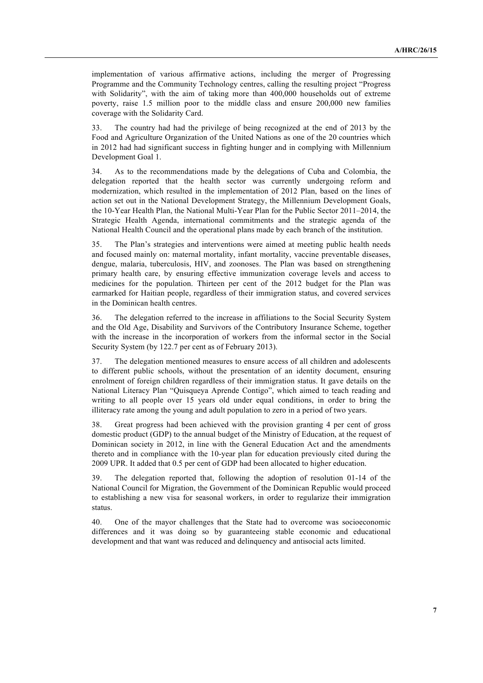implementation of various affirmative actions, including the merger of Progressing Programme and the Community Technology centres, calling the resulting project "Progress with Solidarity", with the aim of taking more than 400,000 households out of extreme poverty, raise 1.5 million poor to the middle class and ensure 200,000 new families coverage with the Solidarity Card.

33. The country had had the privilege of being recognized at the end of 2013 by the Food and Agriculture Organization of the United Nations as one of the 20 countries which in 2012 had had significant success in fighting hunger and in complying with Millennium Development Goal 1.

34. As to the recommendations made by the delegations of Cuba and Colombia, the delegation reported that the health sector was currently undergoing reform and modernization, which resulted in the implementation of 2012 Plan, based on the lines of action set out in the National Development Strategy, the Millennium Development Goals, the 10-Year Health Plan, the National Multi-Year Plan for the Public Sector 2011–2014, the Strategic Health Agenda, international commitments and the strategic agenda of the National Health Council and the operational plans made by each branch of the institution.

35. The Plan's strategies and interventions were aimed at meeting public health needs and focused mainly on: maternal mortality, infant mortality, vaccine preventable diseases, dengue, malaria, tuberculosis, HIV, and zoonoses. The Plan was based on strengthening primary health care, by ensuring effective immunization coverage levels and access to medicines for the population. Thirteen per cent of the 2012 budget for the Plan was earmarked for Haitian people, regardless of their immigration status, and covered services in the Dominican health centres.

36. The delegation referred to the increase in affiliations to the Social Security System and the Old Age, Disability and Survivors of the Contributory Insurance Scheme, together with the increase in the incorporation of workers from the informal sector in the Social Security System (by 122.7 per cent as of February 2013).

37. The delegation mentioned measures to ensure access of all children and adolescents to different public schools, without the presentation of an identity document, ensuring enrolment of foreign children regardless of their immigration status. It gave details on the National Literacy Plan "Quisqueya Aprende Contigo", which aimed to teach reading and writing to all people over 15 years old under equal conditions, in order to bring the illiteracy rate among the young and adult population to zero in a period of two years.

38. Great progress had been achieved with the provision granting 4 per cent of gross domestic product (GDP) to the annual budget of the Ministry of Education, at the request of Dominican society in 2012, in line with the General Education Act and the amendments thereto and in compliance with the 10-year plan for education previously cited during the 2009 UPR. It added that 0.5 per cent of GDP had been allocated to higher education.

39. The delegation reported that, following the adoption of resolution 01-14 of the National Council for Migration, the Government of the Dominican Republic would proceed to establishing a new visa for seasonal workers, in order to regularize their immigration status.

40. One of the mayor challenges that the State had to overcome was socioeconomic differences and it was doing so by guaranteeing stable economic and educational development and that want was reduced and delinquency and antisocial acts limited.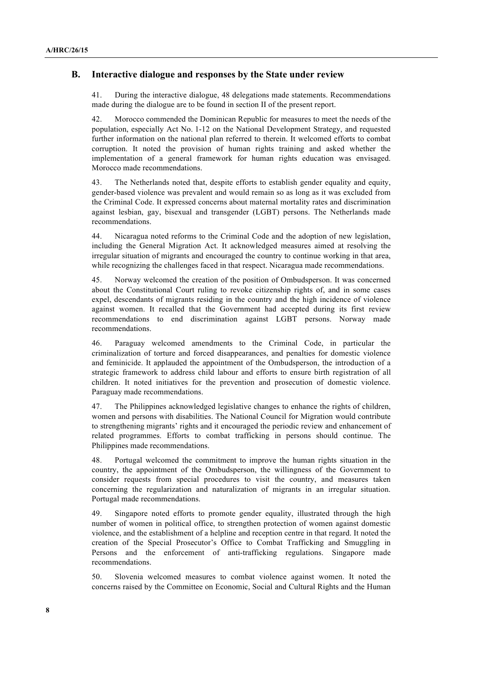### **B. Interactive dialogue and responses by the State under review**

41. During the interactive dialogue, 48 delegations made statements. Recommendations made during the dialogue are to be found in section II of the present report.

42. Morocco commended the Dominican Republic for measures to meet the needs of the population, especially Act No. 1-12 on the National Development Strategy, and requested further information on the national plan referred to therein. It welcomed efforts to combat corruption. It noted the provision of human rights training and asked whether the implementation of a general framework for human rights education was envisaged. Morocco made recommendations.

43. The Netherlands noted that, despite efforts to establish gender equality and equity, gender-based violence was prevalent and would remain so as long as it was excluded from the Criminal Code. It expressed concerns about maternal mortality rates and discrimination against lesbian, gay, bisexual and transgender (LGBT) persons. The Netherlands made recommendations.

44. Nicaragua noted reforms to the Criminal Code and the adoption of new legislation, including the General Migration Act. It acknowledged measures aimed at resolving the irregular situation of migrants and encouraged the country to continue working in that area, while recognizing the challenges faced in that respect. Nicaragua made recommendations.

45. Norway welcomed the creation of the position of Ombudsperson. It was concerned about the Constitutional Court ruling to revoke citizenship rights of, and in some cases expel, descendants of migrants residing in the country and the high incidence of violence against women. It recalled that the Government had accepted during its first review recommendations to end discrimination against LGBT persons. Norway made recommendations.

46. Paraguay welcomed amendments to the Criminal Code, in particular the criminalization of torture and forced disappearances, and penalties for domestic violence and feminicide. It applauded the appointment of the Ombudsperson, the introduction of a strategic framework to address child labour and efforts to ensure birth registration of all children. It noted initiatives for the prevention and prosecution of domestic violence. Paraguay made recommendations.

47. The Philippines acknowledged legislative changes to enhance the rights of children, women and persons with disabilities. The National Council for Migration would contribute to strengthening migrants' rights and it encouraged the periodic review and enhancement of related programmes. Efforts to combat trafficking in persons should continue. The Philippines made recommendations.

48. Portugal welcomed the commitment to improve the human rights situation in the country, the appointment of the Ombudsperson, the willingness of the Government to consider requests from special procedures to visit the country, and measures taken concerning the regularization and naturalization of migrants in an irregular situation. Portugal made recommendations.

49. Singapore noted efforts to promote gender equality, illustrated through the high number of women in political office, to strengthen protection of women against domestic violence, and the establishment of a helpline and reception centre in that regard. It noted the creation of the Special Prosecutor's Office to Combat Trafficking and Smuggling in Persons and the enforcement of anti-trafficking regulations. Singapore made recommendations.

50. Slovenia welcomed measures to combat violence against women. It noted the concerns raised by the Committee on Economic, Social and Cultural Rights and the Human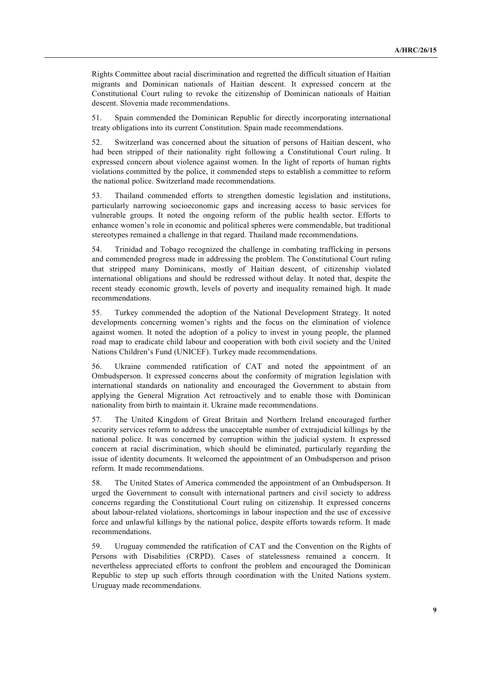Rights Committee about racial discrimination and regretted the difficult situation of Haitian migrants and Dominican nationals of Haitian descent. It expressed concern at the Constitutional Court ruling to revoke the citizenship of Dominican nationals of Haitian descent. Slovenia made recommendations.

51. Spain commended the Dominican Republic for directly incorporating international treaty obligations into its current Constitution. Spain made recommendations.

52. Switzerland was concerned about the situation of persons of Haitian descent, who had been stripped of their nationality right following a Constitutional Court ruling. It expressed concern about violence against women. In the light of reports of human rights violations committed by the police, it commended steps to establish a committee to reform the national police. Switzerland made recommendations.

53. Thailand commended efforts to strengthen domestic legislation and institutions, particularly narrowing socioeconomic gaps and increasing access to basic services for vulnerable groups. It noted the ongoing reform of the public health sector. Efforts to enhance women's role in economic and political spheres were commendable, but traditional stereotypes remained a challenge in that regard. Thailand made recommendations.

54. Trinidad and Tobago recognized the challenge in combating trafficking in persons and commended progress made in addressing the problem. The Constitutional Court ruling that stripped many Dominicans, mostly of Haitian descent, of citizenship violated international obligations and should be redressed without delay. It noted that, despite the recent steady economic growth, levels of poverty and inequality remained high. It made recommendations.

55. Turkey commended the adoption of the National Development Strategy. It noted developments concerning women's rights and the focus on the elimination of violence against women. It noted the adoption of a policy to invest in young people, the planned road map to eradicate child labour and cooperation with both civil society and the United Nations Children's Fund (UNICEF). Turkey made recommendations.

56. Ukraine commended ratification of CAT and noted the appointment of an Ombudsperson. It expressed concerns about the conformity of migration legislation with international standards on nationality and encouraged the Government to abstain from applying the General Migration Act retroactively and to enable those with Dominican nationality from birth to maintain it. Ukraine made recommendations.

57. The United Kingdom of Great Britain and Northern Ireland encouraged further security services reform to address the unacceptable number of extrajudicial killings by the national police. It was concerned by corruption within the judicial system. It expressed concern at racial discrimination, which should be eliminated, particularly regarding the issue of identity documents. It welcomed the appointment of an Ombudsperson and prison reform. It made recommendations.

58. The United States of America commended the appointment of an Ombudsperson. It urged the Government to consult with international partners and civil society to address concerns regarding the Constitutional Court ruling on citizenship. It expressed concerns about labour-related violations, shortcomings in labour inspection and the use of excessive force and unlawful killings by the national police, despite efforts towards reform. It made recommendations.

59. Uruguay commended the ratification of CAT and the Convention on the Rights of Persons with Disabilities (CRPD). Cases of statelessness remained a concern. It nevertheless appreciated efforts to confront the problem and encouraged the Dominican Republic to step up such efforts through coordination with the United Nations system. Uruguay made recommendations.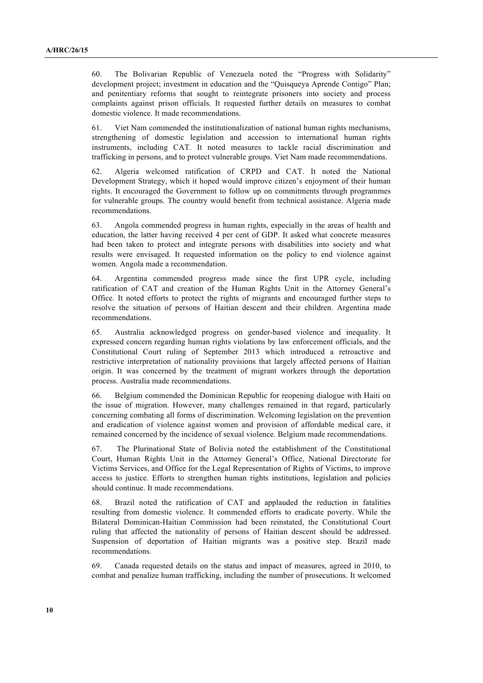60. The Bolivarian Republic of Venezuela noted the "Progress with Solidarity" development project; investment in education and the "Quisqueya Aprende Contigo" Plan; and penitentiary reforms that sought to reintegrate prisoners into society and process complaints against prison officials. It requested further details on measures to combat domestic violence. It made recommendations.

61. Viet Nam commended the institutionalization of national human rights mechanisms, strengthening of domestic legislation and accession to international human rights instruments, including CAT. It noted measures to tackle racial discrimination and trafficking in persons, and to protect vulnerable groups. Viet Nam made recommendations.

62. Algeria welcomed ratification of CRPD and CAT. It noted the National Development Strategy, which it hoped would improve citizen's enjoyment of their human rights. It encouraged the Government to follow up on commitments through programmes for vulnerable groups. The country would benefit from technical assistance. Algeria made recommendations.

63. Angola commended progress in human rights, especially in the areas of health and education, the latter having received 4 per cent of GDP. It asked what concrete measures had been taken to protect and integrate persons with disabilities into society and what results were envisaged. It requested information on the policy to end violence against women. Angola made a recommendation.

64. Argentina commended progress made since the first UPR cycle, including ratification of CAT and creation of the Human Rights Unit in the Attorney General's Office. It noted efforts to protect the rights of migrants and encouraged further steps to resolve the situation of persons of Haitian descent and their children. Argentina made recommendations.

65. Australia acknowledged progress on gender-based violence and inequality. It expressed concern regarding human rights violations by law enforcement officials, and the Constitutional Court ruling of September 2013 which introduced a retroactive and restrictive interpretation of nationality provisions that largely affected persons of Haitian origin. It was concerned by the treatment of migrant workers through the deportation process. Australia made recommendations.

66. Belgium commended the Dominican Republic for reopening dialogue with Haiti on the issue of migration. However, many challenges remained in that regard, particularly concerning combating all forms of discrimination. Welcoming legislation on the prevention and eradication of violence against women and provision of affordable medical care, it remained concerned by the incidence of sexual violence. Belgium made recommendations.

67. The Plurinational State of Bolivia noted the establishment of the Constitutional Court, Human Rights Unit in the Attorney General's Office, National Directorate for Victims Services, and Office for the Legal Representation of Rights of Victims, to improve access to justice. Efforts to strengthen human rights institutions, legislation and policies should continue. It made recommendations.

68. Brazil noted the ratification of CAT and applauded the reduction in fatalities resulting from domestic violence. It commended efforts to eradicate poverty. While the Bilateral Dominican-Haitian Commission had been reinstated, the Constitutional Court ruling that affected the nationality of persons of Haitian descent should be addressed. Suspension of deportation of Haitian migrants was a positive step. Brazil made recommendations.

69. Canada requested details on the status and impact of measures, agreed in 2010, to combat and penalize human trafficking, including the number of prosecutions. It welcomed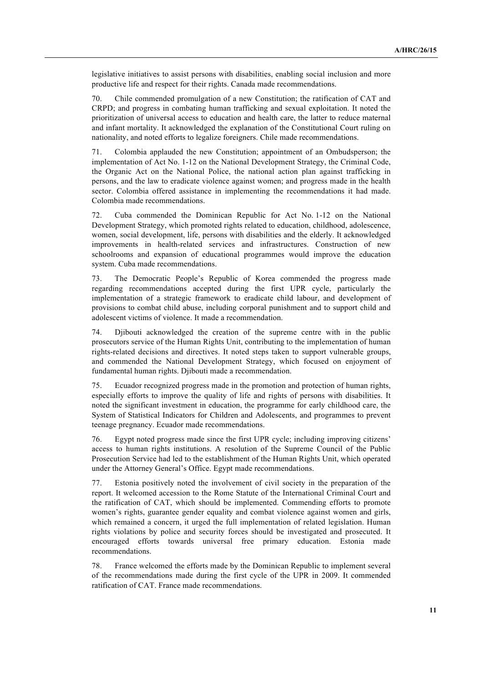legislative initiatives to assist persons with disabilities, enabling social inclusion and more productive life and respect for their rights. Canada made recommendations.

70. Chile commended promulgation of a new Constitution; the ratification of CAT and CRPD; and progress in combating human trafficking and sexual exploitation. It noted the prioritization of universal access to education and health care, the latter to reduce maternal and infant mortality. It acknowledged the explanation of the Constitutional Court ruling on nationality, and noted efforts to legalize foreigners. Chile made recommendations.

71. Colombia applauded the new Constitution; appointment of an Ombudsperson; the implementation of Act No. 1-12 on the National Development Strategy, the Criminal Code, the Organic Act on the National Police, the national action plan against trafficking in persons, and the law to eradicate violence against women; and progress made in the health sector. Colombia offered assistance in implementing the recommendations it had made. Colombia made recommendations.

72. Cuba commended the Dominican Republic for Act No. 1-12 on the National Development Strategy, which promoted rights related to education, childhood, adolescence, women, social development, life, persons with disabilities and the elderly. It acknowledged improvements in health-related services and infrastructures. Construction of new schoolrooms and expansion of educational programmes would improve the education system. Cuba made recommendations.

73. The Democratic People's Republic of Korea commended the progress made regarding recommendations accepted during the first UPR cycle, particularly the implementation of a strategic framework to eradicate child labour, and development of provisions to combat child abuse, including corporal punishment and to support child and adolescent victims of violence. It made a recommendation.

74. Djibouti acknowledged the creation of the supreme centre with in the public prosecutors service of the Human Rights Unit, contributing to the implementation of human rights-related decisions and directives. It noted steps taken to support vulnerable groups, and commended the National Development Strategy, which focused on enjoyment of fundamental human rights. Djibouti made a recommendation.

75. Ecuador recognized progress made in the promotion and protection of human rights, especially efforts to improve the quality of life and rights of persons with disabilities. It noted the significant investment in education, the programme for early childhood care, the System of Statistical Indicators for Children and Adolescents, and programmes to prevent teenage pregnancy. Ecuador made recommendations.

76. Egypt noted progress made since the first UPR cycle; including improving citizens' access to human rights institutions. A resolution of the Supreme Council of the Public Prosecution Service had led to the establishment of the Human Rights Unit, which operated under the Attorney General's Office. Egypt made recommendations.

77. Estonia positively noted the involvement of civil society in the preparation of the report. It welcomed accession to the Rome Statute of the International Criminal Court and the ratification of CAT, which should be implemented. Commending efforts to promote women's rights, guarantee gender equality and combat violence against women and girls, which remained a concern, it urged the full implementation of related legislation. Human rights violations by police and security forces should be investigated and prosecuted. It encouraged efforts towards universal free primary education. Estonia made recommendations.

78. France welcomed the efforts made by the Dominican Republic to implement several of the recommendations made during the first cycle of the UPR in 2009. It commended ratification of CAT. France made recommendations.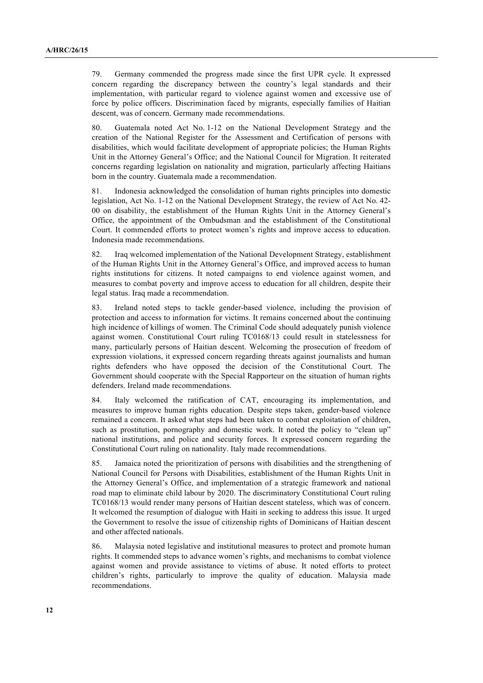79. Germany commended the progress made since the first UPR cycle. It expressed concern regarding the discrepancy between the country's legal standards and their implementation, with particular regard to violence against women and excessive use of force by police officers. Discrimination faced by migrants, especially families of Haitian descent, was of concern. Germany made recommendations.

80. Guatemala noted Act No. 1-12 on the National Development Strategy and the creation of the National Register for the Assessment and Certification of persons with disabilities, which would facilitate development of appropriate policies; the Human Rights Unit in the Attorney General's Office; and the National Council for Migration. It reiterated concerns regarding legislation on nationality and migration, particularly affecting Haitians born in the country. Guatemala made a recommendation.

81. Indonesia acknowledged the consolidation of human rights principles into domestic legislation, Act No. 1-12 on the National Development Strategy, the review of Act No. 42- 00 on disability, the establishment of the Human Rights Unit in the Attorney General's Office, the appointment of the Ombudsman and the establishment of the Constitutional Court. It commended efforts to protect women's rights and improve access to education. Indonesia made recommendations.

82. Iraq welcomed implementation of the National Development Strategy, establishment of the Human Rights Unit in the Attorney General's Office, and improved access to human rights institutions for citizens. It noted campaigns to end violence against women, and measures to combat poverty and improve access to education for all children, despite their legal status. Iraq made a recommendation.

83. Ireland noted steps to tackle gender-based violence, including the provision of protection and access to information for victims. It remains concerned about the continuing high incidence of killings of women. The Criminal Code should adequately punish violence against women. Constitutional Court ruling TC0168/13 could result in statelessness for many, particularly persons of Haitian descent. Welcoming the prosecution of freedom of expression violations, it expressed concern regarding threats against journalists and human rights defenders who have opposed the decision of the Constitutional Court. The Government should cooperate with the Special Rapporteur on the situation of human rights defenders. Ireland made recommendations.

84. Italy welcomed the ratification of CAT, encouraging its implementation, and measures to improve human rights education. Despite steps taken, gender-based violence remained a concern. It asked what steps had been taken to combat exploitation of children, such as prostitution, pornography and domestic work. It noted the policy to "clean up" national institutions, and police and security forces. It expressed concern regarding the Constitutional Court ruling on nationality. Italy made recommendations.

85. Jamaica noted the prioritization of persons with disabilities and the strengthening of National Council for Persons with Disabilities, establishment of the Human Rights Unit in the Attorney General's Office, and implementation of a strategic framework and national road map to eliminate child labour by 2020. The discriminatory Constitutional Court ruling TC0168/13 would render many persons of Haitian descent stateless, which was of concern. It welcomed the resumption of dialogue with Haiti in seeking to address this issue. It urged the Government to resolve the issue of citizenship rights of Dominicans of Haitian descent and other affected nationals.

86. Malaysia noted legislative and institutional measures to protect and promote human rights. It commended steps to advance women's rights, and mechanisms to combat violence against women and provide assistance to victims of abuse. It noted efforts to protect children's rights, particularly to improve the quality of education. Malaysia made recommendations.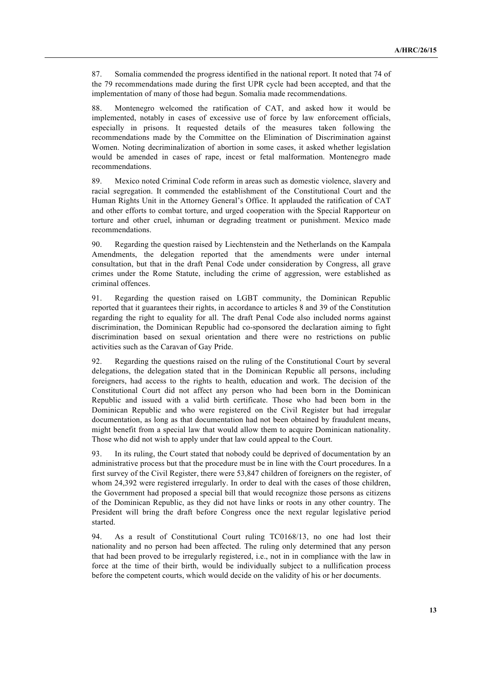87. Somalia commended the progress identified in the national report. It noted that 74 of the 79 recommendations made during the first UPR cycle had been accepted, and that the implementation of many of those had begun. Somalia made recommendations.

88. Montenegro welcomed the ratification of CAT, and asked how it would be implemented, notably in cases of excessive use of force by law enforcement officials, especially in prisons. It requested details of the measures taken following the recommendations made by the Committee on the Elimination of Discrimination against Women. Noting decriminalization of abortion in some cases, it asked whether legislation would be amended in cases of rape, incest or fetal malformation. Montenegro made recommendations.

89. Mexico noted Criminal Code reform in areas such as domestic violence, slavery and racial segregation. It commended the establishment of the Constitutional Court and the Human Rights Unit in the Attorney General's Office. It applauded the ratification of CAT and other efforts to combat torture, and urged cooperation with the Special Rapporteur on torture and other cruel, inhuman or degrading treatment or punishment. Mexico made recommendations.

90. Regarding the question raised by Liechtenstein and the Netherlands on the Kampala Amendments, the delegation reported that the amendments were under internal consultation, but that in the draft Penal Code under consideration by Congress, all grave crimes under the Rome Statute, including the crime of aggression, were established as criminal offences.

91. Regarding the question raised on LGBT community, the Dominican Republic reported that it guarantees their rights, in accordance to articles 8 and 39 of the Constitution regarding the right to equality for all. The draft Penal Code also included norms against discrimination, the Dominican Republic had co-sponsored the declaration aiming to fight discrimination based on sexual orientation and there were no restrictions on public activities such as the Caravan of Gay Pride.

92. Regarding the questions raised on the ruling of the Constitutional Court by several delegations, the delegation stated that in the Dominican Republic all persons, including foreigners, had access to the rights to health, education and work. The decision of the Constitutional Court did not affect any person who had been born in the Dominican Republic and issued with a valid birth certificate. Those who had been born in the Dominican Republic and who were registered on the Civil Register but had irregular documentation, as long as that documentation had not been obtained by fraudulent means, might benefit from a special law that would allow them to acquire Dominican nationality. Those who did not wish to apply under that law could appeal to the Court.

93. In its ruling, the Court stated that nobody could be deprived of documentation by an administrative process but that the procedure must be in line with the Court procedures. In a first survey of the Civil Register, there were 53,847 children of foreigners on the register, of whom 24,392 were registered irregularly. In order to deal with the cases of those children, the Government had proposed a special bill that would recognize those persons as citizens of the Dominican Republic, as they did not have links or roots in any other country. The President will bring the draft before Congress once the next regular legislative period started.

94. As a result of Constitutional Court ruling TC0168/13, no one had lost their nationality and no person had been affected. The ruling only determined that any person that had been proved to be irregularly registered, i.e., not in in compliance with the law in force at the time of their birth, would be individually subject to a nullification process before the competent courts, which would decide on the validity of his or her documents.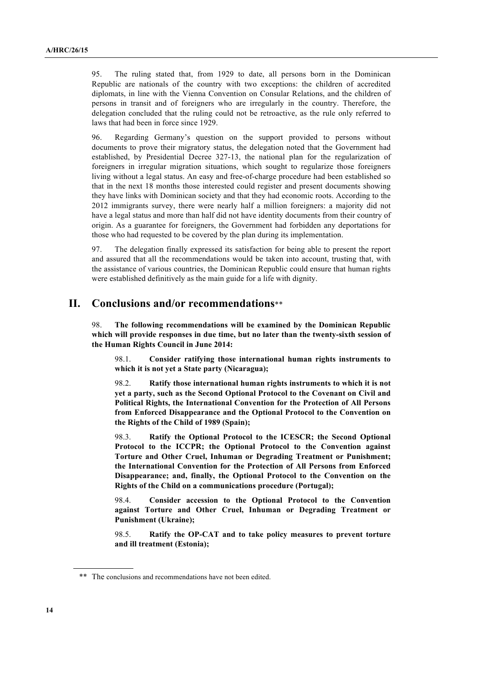95. The ruling stated that, from 1929 to date, all persons born in the Dominican Republic are nationals of the country with two exceptions: the children of accredited diplomats, in line with the Vienna Convention on Consular Relations, and the children of persons in transit and of foreigners who are irregularly in the country. Therefore, the delegation concluded that the ruling could not be retroactive, as the rule only referred to laws that had been in force since 1929.

96. Regarding Germany's question on the support provided to persons without documents to prove their migratory status, the delegation noted that the Government had established, by Presidential Decree 327-13, the national plan for the regularization of foreigners in irregular migration situations, which sought to regularize those foreigners living without a legal status. An easy and free-of-charge procedure had been established so that in the next 18 months those interested could register and present documents showing they have links with Dominican society and that they had economic roots. According to the 2012 immigrants survey, there were nearly half a million foreigners: a majority did not have a legal status and more than half did not have identity documents from their country of origin. As a guarantee for foreigners, the Government had forbidden any deportations for those who had requested to be covered by the plan during its implementation.

97. The delegation finally expressed its satisfaction for being able to present the report and assured that all the recommendations would be taken into account, trusting that, with the assistance of various countries, the Dominican Republic could ensure that human rights were established definitively as the main guide for a life with dignity.

## **II. Conclusions and/or recommendations**\*\*

98. **The following recommendations will be examined by the Dominican Republic which will provide responses in due time, but no later than the twenty-sixth session of the Human Rights Council in June 2014:**

98.1. **Consider ratifying those international human rights instruments to which it is not yet a State party (Nicaragua);**

98.2. **Ratify those international human rights instruments to which it is not yet a party, such as the Second Optional Protocol to the Covenant on Civil and Political Rights, the International Convention for the Protection of All Persons from Enforced Disappearance and the Optional Protocol to the Convention on the Rights of the Child of 1989 (Spain);**

98.3. **Ratify the Optional Protocol to the ICESCR; the Second Optional Protocol to the ICCPR; the Optional Protocol to the Convention against Torture and Other Cruel, Inhuman or Degrading Treatment or Punishment; the International Convention for the Protection of All Persons from Enforced Disappearance; and, finally, the Optional Protocol to the Convention on the Rights of the Child on a communications procedure (Portugal);**

98.4. **Consider accession to the Optional Protocol to the Convention against Torture and Other Cruel, Inhuman or Degrading Treatment or Punishment (Ukraine);**

98.5. **Ratify the OP-CAT and to take policy measures to prevent torture and ill treatment (Estonia);**

<sup>\*\*</sup> The conclusions and recommendations have not been edited.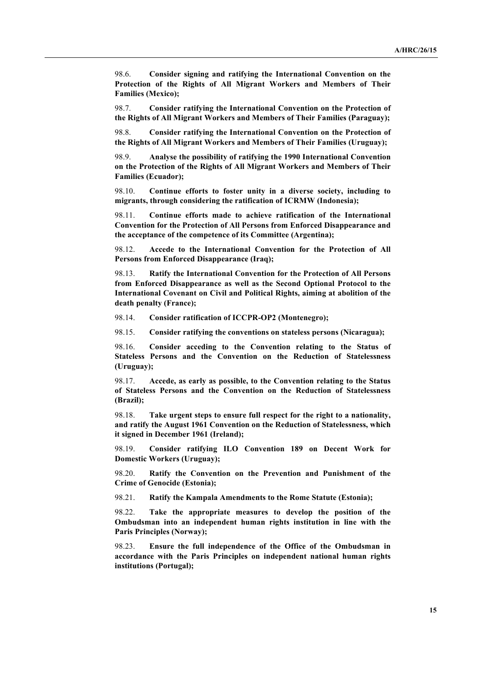98.6. **Consider signing and ratifying the International Convention on the Protection of the Rights of All Migrant Workers and Members of Their Families (Mexico);**

98.7. **Consider ratifying the International Convention on the Protection of the Rights of All Migrant Workers and Members of Their Families (Paraguay);**

98.8. **Consider ratifying the International Convention on the Protection of the Rights of All Migrant Workers and Members of Their Families (Uruguay);**

98.9. **Analyse the possibility of ratifying the 1990 International Convention on the Protection of the Rights of All Migrant Workers and Members of Their Families (Ecuador);**

98.10. **Continue efforts to foster unity in a diverse society, including to migrants, through considering the ratification of ICRMW (Indonesia);**

98.11. **Continue efforts made to achieve ratification of the International Convention for the Protection of All Persons from Enforced Disappearance and the acceptance of the competence of its Committee (Argentina);**

98.12. **Accede to the International Convention for the Protection of All Persons from Enforced Disappearance (Iraq);**

98.13. **Ratify the International Convention for the Protection of All Persons from Enforced Disappearance as well as the Second Optional Protocol to the International Covenant on Civil and Political Rights, aiming at abolition of the death penalty (France);**

98.14. **Consider ratification of ICCPR-OP2 (Montenegro);**

98.15. **Consider ratifying the conventions on stateless persons (Nicaragua);**

98.16. **Consider acceding to the Convention relating to the Status of Stateless Persons and the Convention on the Reduction of Statelessness (Uruguay);**

98.17. **Accede, as early as possible, to the Convention relating to the Status of Stateless Persons and the Convention on the Reduction of Statelessness (Brazil);**

98.18. **Take urgent steps to ensure full respect for the right to a nationality, and ratify the August 1961 Convention on the Reduction of Statelessness, which it signed in December 1961 (Ireland);**

98.19. **Consider ratifying ILO Convention 189 on Decent Work for Domestic Workers (Uruguay);**

98.20. **Ratify the Convention on the Prevention and Punishment of the Crime of Genocide (Estonia);**

98.21. **Ratify the Kampala Amendments to the Rome Statute (Estonia);**

98.22. **Take the appropriate measures to develop the position of the Ombudsman into an independent human rights institution in line with the Paris Principles (Norway);**

98.23. **Ensure the full independence of the Office of the Ombudsman in accordance with the Paris Principles on independent national human rights institutions (Portugal);**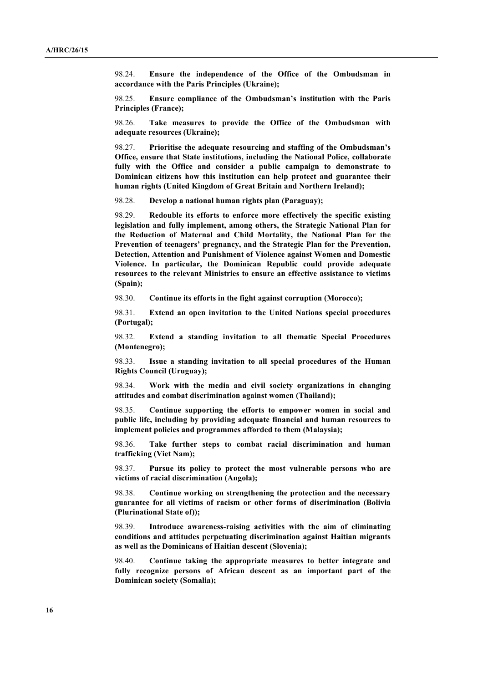98.24. **Ensure the independence of the Office of the Ombudsman in accordance with the Paris Principles (Ukraine);**

98.25. **Ensure compliance of the Ombudsman's institution with the Paris Principles (France);**

98.26. **Take measures to provide the Office of the Ombudsman with adequate resources (Ukraine);**

98.27. **Prioritise the adequate resourcing and staffing of the Ombudsman's Office, ensure that State institutions, including the National Police, collaborate fully with the Office and consider a public campaign to demonstrate to Dominican citizens how this institution can help protect and guarantee their human rights (United Kingdom of Great Britain and Northern Ireland);**

98.28. **Develop a national human rights plan (Paraguay);**

98.29. **Redouble its efforts to enforce more effectively the specific existing legislation and fully implement, among others, the Strategic National Plan for the Reduction of Maternal and Child Mortality, the National Plan for the Prevention of teenagers' pregnancy, and the Strategic Plan for the Prevention, Detection, Attention and Punishment of Violence against Women and Domestic Violence. In particular, the Dominican Republic could provide adequate resources to the relevant Ministries to ensure an effective assistance to victims (Spain);**

98.30. **Continue its efforts in the fight against corruption (Morocco);**

98.31. **Extend an open invitation to the United Nations special procedures (Portugal);**

98.32. **Extend a standing invitation to all thematic Special Procedures (Montenegro);**

98.33. **Issue a standing invitation to all special procedures of the Human Rights Council (Uruguay);**

98.34. **Work with the media and civil society organizations in changing attitudes and combat discrimination against women (Thailand);**

98.35. **Continue supporting the efforts to empower women in social and public life, including by providing adequate financial and human resources to implement policies and programmes afforded to them (Malaysia);**

98.36. **Take further steps to combat racial discrimination and human trafficking (Viet Nam);**

98.37. **Pursue its policy to protect the most vulnerable persons who are victims of racial discrimination (Angola);**

98.38. **Continue working on strengthening the protection and the necessary guarantee for all victims of racism or other forms of discrimination (Bolivia (Plurinational State of));**

98.39. **Introduce awareness-raising activities with the aim of eliminating conditions and attitudes perpetuating discrimination against Haitian migrants as well as the Dominicans of Haitian descent (Slovenia);**

98.40. **Continue taking the appropriate measures to better integrate and fully recognize persons of African descent as an important part of the Dominican society (Somalia);**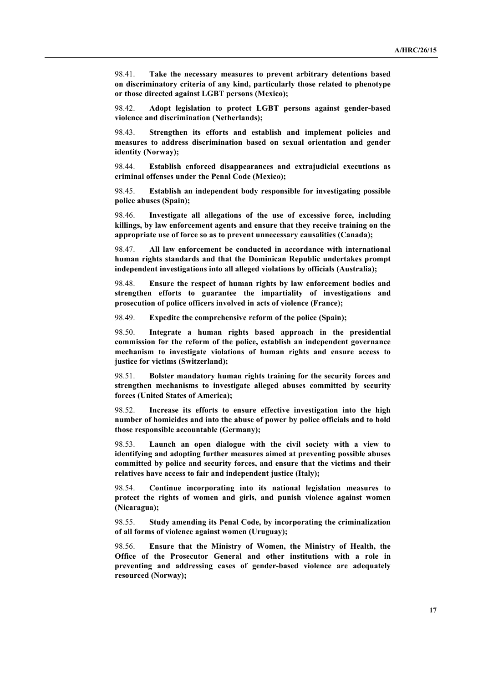98.41. **Take the necessary measures to prevent arbitrary detentions based on discriminatory criteria of any kind, particularly those related to phenotype or those directed against LGBT persons (Mexico);**

98.42. **Adopt legislation to protect LGBT persons against gender-based violence and discrimination (Netherlands);**

98.43. **Strengthen its efforts and establish and implement policies and measures to address discrimination based on sexual orientation and gender identity (Norway);**

98.44. **Establish enforced disappearances and extrajudicial executions as criminal offenses under the Penal Code (Mexico);**

98.45. **Establish an independent body responsible for investigating possible police abuses (Spain);**

98.46. **Investigate all allegations of the use of excessive force, including killings, by law enforcement agents and ensure that they receive training on the appropriate use of force so as to prevent unnecessary causalities (Canada);**

98.47. **All law enforcement be conducted in accordance with international human rights standards and that the Dominican Republic undertakes prompt independent investigations into all alleged violations by officials (Australia);**

98.48. **Ensure the respect of human rights by law enforcement bodies and strengthen efforts to guarantee the impartiality of investigations and prosecution of police officers involved in acts of violence (France);**

98.49. **Expedite the comprehensive reform of the police (Spain);**

98.50. **Integrate a human rights based approach in the presidential commission for the reform of the police, establish an independent governance mechanism to investigate violations of human rights and ensure access to justice for victims (Switzerland);**

98.51. **Bolster mandatory human rights training for the security forces and strengthen mechanisms to investigate alleged abuses committed by security forces (United States of America);**

98.52. **Increase its efforts to ensure effective investigation into the high number of homicides and into the abuse of power by police officials and to hold those responsible accountable (Germany);**

98.53. **Launch an open dialogue with the civil society with a view to identifying and adopting further measures aimed at preventing possible abuses committed by police and security forces, and ensure that the victims and their relatives have access to fair and independent justice (Italy);**

98.54. **Continue incorporating into its national legislation measures to protect the rights of women and girls, and punish violence against women (Nicaragua);**

98.55. **Study amending its Penal Code, by incorporating the criminalization of all forms of violence against women (Uruguay);**

98.56. **Ensure that the Ministry of Women, the Ministry of Health, the Office of the Prosecutor General and other institutions with a role in preventing and addressing cases of gender-based violence are adequately resourced (Norway);**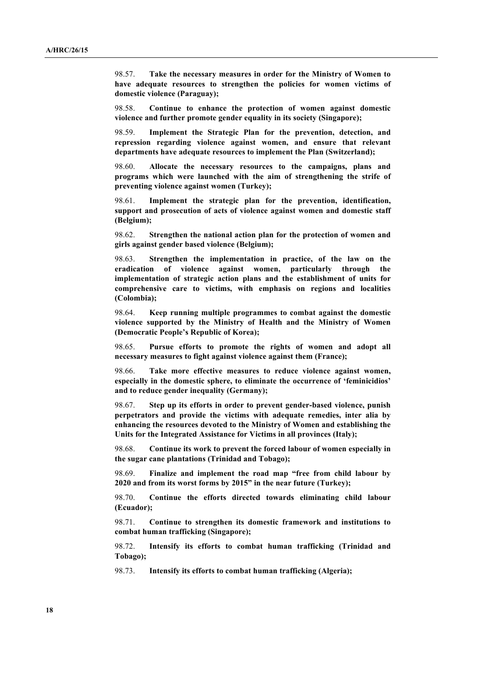98.57. **Take the necessary measures in order for the Ministry of Women to have adequate resources to strengthen the policies for women victims of domestic violence (Paraguay);**

98.58. **Continue to enhance the protection of women against domestic violence and further promote gender equality in its society (Singapore);**

98.59. **Implement the Strategic Plan for the prevention, detection, and repression regarding violence against women, and ensure that relevant departments have adequate resources to implement the Plan (Switzerland);**

98.60. **Allocate the necessary resources to the campaigns, plans and programs which were launched with the aim of strengthening the strife of preventing violence against women (Turkey);**

98.61. **Implement the strategic plan for the prevention, identification, support and prosecution of acts of violence against women and domestic staff (Belgium);**

98.62. **Strengthen the national action plan for the protection of women and girls against gender based violence (Belgium);**

98.63. **Strengthen the implementation in practice, of the law on the eradication of violence against women, particularly through the implementation of strategic action plans and the establishment of units for comprehensive care to victims, with emphasis on regions and localities (Colombia);**

98.64. **Keep running multiple programmes to combat against the domestic violence supported by the Ministry of Health and the Ministry of Women (Democratic People's Republic of Korea);**

98.65. **Pursue efforts to promote the rights of women and adopt all necessary measures to fight against violence against them (France);**

98.66. **Take more effective measures to reduce violence against women, especially in the domestic sphere, to eliminate the occurrence of 'feminicidios' and to reduce gender inequality (Germany);**

98.67. **Step up its efforts in order to prevent gender-based violence, punish perpetrators and provide the victims with adequate remedies, inter alia by enhancing the resources devoted to the Ministry of Women and establishing the Units for the Integrated Assistance for Victims in all provinces (Italy);**

98.68. **Continue its work to prevent the forced labour of women especially in the sugar cane plantations (Trinidad and Tobago);**

98.69. **Finalize and implement the road map "free from child labour by 2020 and from its worst forms by 2015" in the near future (Turkey);** 

98.70. **Continue the efforts directed towards eliminating child labour (Ecuador);**

98.71. **Continue to strengthen its domestic framework and institutions to combat human trafficking (Singapore);**

98.72. **Intensify its efforts to combat human trafficking (Trinidad and Tobago);**

98.73. **Intensify its efforts to combat human trafficking (Algeria);**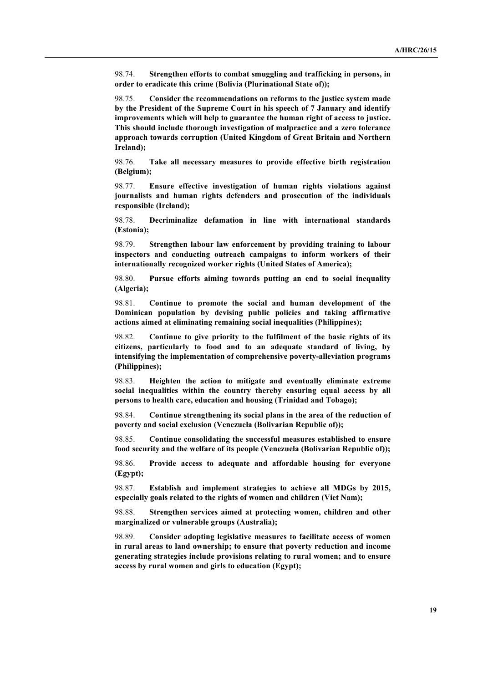98.74. **Strengthen efforts to combat smuggling and trafficking in persons, in order to eradicate this crime (Bolivia (Plurinational State of));**

98.75. **Consider the recommendations on reforms to the justice system made by the President of the Supreme Court in his speech of 7 January and identify improvements which will help to guarantee the human right of access to justice. This should include thorough investigation of malpractice and a zero tolerance approach towards corruption (United Kingdom of Great Britain and Northern Ireland);**

98.76. **Take all necessary measures to provide effective birth registration (Belgium);**

98.77. **Ensure effective investigation of human rights violations against journalists and human rights defenders and prosecution of the individuals responsible (Ireland);**

98.78. **Decriminalize defamation in line with international standards (Estonia);**

98.79. **Strengthen labour law enforcement by providing training to labour inspectors and conducting outreach campaigns to inform workers of their internationally recognized worker rights (United States of America);**

98.80. **Pursue efforts aiming towards putting an end to social inequality (Algeria);**

98.81. **Continue to promote the social and human development of the Dominican population by devising public policies and taking affirmative actions aimed at eliminating remaining social inequalities (Philippines);**

98.82. **Continue to give priority to the fulfilment of the basic rights of its citizens, particularly to food and to an adequate standard of living, by intensifying the implementation of comprehensive poverty-alleviation programs (Philippines);**

98.83. **Heighten the action to mitigate and eventually eliminate extreme social inequalities within the country thereby ensuring equal access by all persons to health care, education and housing (Trinidad and Tobago);**

98.84. **Continue strengthening its social plans in the area of the reduction of poverty and social exclusion (Venezuela (Bolivarian Republic of));**

98.85. **Continue consolidating the successful measures established to ensure food security and the welfare of its people (Venezuela (Bolivarian Republic of));**

98.86. **Provide access to adequate and affordable housing for everyone (Egypt);**

98.87. **Establish and implement strategies to achieve all MDGs by 2015, especially goals related to the rights of women and children (Viet Nam);**

98.88. **Strengthen services aimed at protecting women, children and other marginalized or vulnerable groups (Australia);**

98.89. **Consider adopting legislative measures to facilitate access of women in rural areas to land ownership; to ensure that poverty reduction and income generating strategies include provisions relating to rural women; and to ensure access by rural women and girls to education (Egypt);**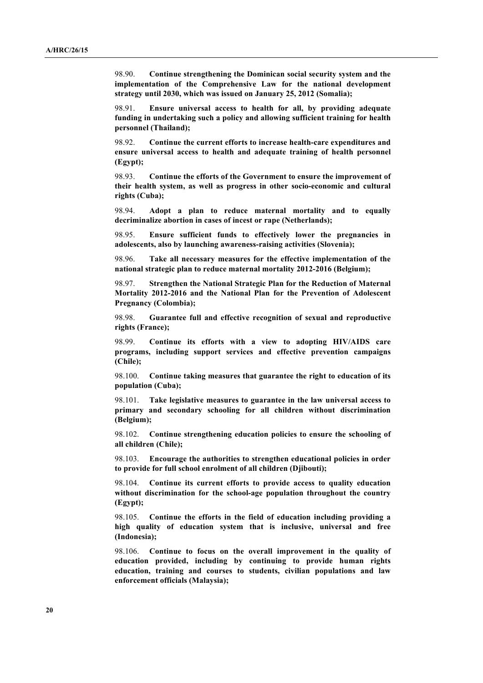98.90. **Continue strengthening the Dominican social security system and the implementation of the Comprehensive Law for the national development strategy until 2030, which was issued on January 25, 2012 (Somalia);**

98.91. **Ensure universal access to health for all, by providing adequate funding in undertaking such a policy and allowing sufficient training for health personnel (Thailand);**

98.92. **Continue the current efforts to increase health-care expenditures and ensure universal access to health and adequate training of health personnel (Egypt);**

98.93. **Continue the efforts of the Government to ensure the improvement of their health system, as well as progress in other socio-economic and cultural rights (Cuba);**

98.94. **Adopt a plan to reduce maternal mortality and to equally decriminalize abortion in cases of incest or rape (Netherlands);**

98.95. **Ensure sufficient funds to effectively lower the pregnancies in adolescents, also by launching awareness-raising activities (Slovenia);**

98.96. **Take all necessary measures for the effective implementation of the national strategic plan to reduce maternal mortality 2012-2016 (Belgium);**

98.97. **Strengthen the National Strategic Plan for the Reduction of Maternal Mortality 2012-2016 and the National Plan for the Prevention of Adolescent Pregnancy (Colombia);**

98.98. **Guarantee full and effective recognition of sexual and reproductive rights (France);**

98.99. **Continue its efforts with a view to adopting HIV/AIDS care programs, including support services and effective prevention campaigns (Chile);**

98.100. **Continue taking measures that guarantee the right to education of its population (Cuba);**

98.101. **Take legislative measures to guarantee in the law universal access to primary and secondary schooling for all children without discrimination (Belgium);**

98.102. **Continue strengthening education policies to ensure the schooling of all children (Chile);**

98.103. **Encourage the authorities to strengthen educational policies in order to provide for full school enrolment of all children (Djibouti);**

98.104. **Continue its current efforts to provide access to quality education without discrimination for the school-age population throughout the country (Egypt);**

98.105. **Continue the efforts in the field of education including providing a high quality of education system that is inclusive, universal and free (Indonesia);**

98.106. **Continue to focus on the overall improvement in the quality of education provided, including by continuing to provide human rights education, training and courses to students, civilian populations and law enforcement officials (Malaysia);**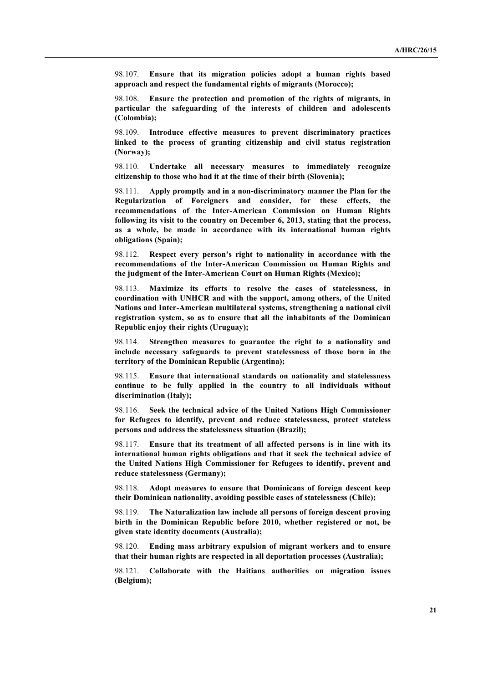98.107. **Ensure that its migration policies adopt a human rights based approach and respect the fundamental rights of migrants (Morocco);**

98.108. **Ensure the protection and promotion of the rights of migrants, in particular the safeguarding of the interests of children and adolescents (Colombia);**

98.109. **Introduce effective measures to prevent discriminatory practices linked to the process of granting citizenship and civil status registration (Norway);**

98.110. **Undertake all necessary measures to immediately recognize citizenship to those who had it at the time of their birth (Slovenia);**

98.111. **Apply promptly and in a non-discriminatory manner the Plan for the Regularization of Foreigners and consider, for these effects, the recommendations of the Inter-American Commission on Human Rights following its visit to the country on December 6, 2013, stating that the process, as a whole, be made in accordance with its international human rights obligations (Spain);**

98.112. **Respect every person's right to nationality in accordance with the recommendations of the Inter-American Commission on Human Rights and the judgment of the Inter-American Court on Human Rights (Mexico);**

98.113. **Maximize its efforts to resolve the cases of statelessness, in coordination with UNHCR and with the support, among others, of the United Nations and Inter-American multilateral systems, strengthening a national civil registration system, so as to ensure that all the inhabitants of the Dominican Republic enjoy their rights (Uruguay);**

98.114. **Strengthen measures to guarantee the right to a nationality and include necessary safeguards to prevent statelessness of those born in the territory of the Dominican Republic (Argentina);**

98.115. **Ensure that international standards on nationality and statelessness continue to be fully applied in the country to all individuals without discrimination (Italy);**

98.116. **Seek the technical advice of the United Nations High Commissioner for Refugees to identify, prevent and reduce statelessness, protect stateless persons and address the statelessness situation (Brazil);**

98.117. **Ensure that its treatment of all affected persons is in line with its international human rights obligations and that it seek the technical advice of the United Nations High Commissioner for Refugees to identify, prevent and reduce statelessness (Germany);**

98.118. **Adopt measures to ensure that Dominicans of foreign descent keep their Dominican nationality, avoiding possible cases of statelessness (Chile);**

98.119. **The Naturalization law include all persons of foreign descent proving birth in the Dominican Republic before 2010, whether registered or not, be given state identity documents (Australia);**

98.120. **Ending mass arbitrary expulsion of migrant workers and to ensure that their human rights are respected in all deportation processes (Australia);**

98.121. **Collaborate with the Haitians authorities on migration issues (Belgium);**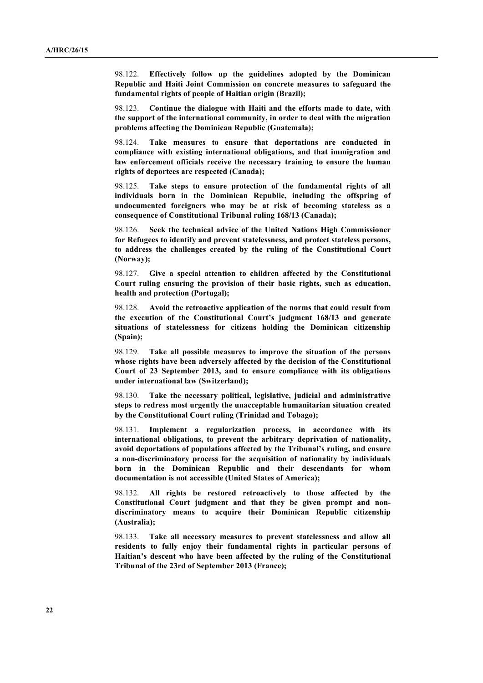98.122. **Effectively follow up the guidelines adopted by the Dominican Republic and Haiti Joint Commission on concrete measures to safeguard the fundamental rights of people of Haitian origin (Brazil);**

98.123. **Continue the dialogue with Haiti and the efforts made to date, with the support of the international community, in order to deal with the migration problems affecting the Dominican Republic (Guatemala);**

98.124. **Take measures to ensure that deportations are conducted in compliance with existing international obligations, and that immigration and law enforcement officials receive the necessary training to ensure the human rights of deportees are respected (Canada);**

98.125. **Take steps to ensure protection of the fundamental rights of all individuals born in the Dominican Republic, including the offspring of undocumented foreigners who may be at risk of becoming stateless as a consequence of Constitutional Tribunal ruling 168/13 (Canada);**

98.126. **Seek the technical advice of the United Nations High Commissioner for Refugees to identify and prevent statelessness, and protect stateless persons, to address the challenges created by the ruling of the Constitutional Court (Norway);**

98.127. **Give a special attention to children affected by the Constitutional Court ruling ensuring the provision of their basic rights, such as education, health and protection (Portugal);**

98.128. **Avoid the retroactive application of the norms that could result from the execution of the Constitutional Court's judgment 168/13 and generate situations of statelessness for citizens holding the Dominican citizenship (Spain);**

98.129. **Take all possible measures to improve the situation of the persons whose rights have been adversely affected by the decision of the Constitutional Court of 23 September 2013, and to ensure compliance with its obligations under international law (Switzerland);**

98.130. **Take the necessary political, legislative, judicial and administrative steps to redress most urgently the unacceptable humanitarian situation created by the Constitutional Court ruling (Trinidad and Tobago);**

98.131. **Implement a regularization process, in accordance with its international obligations, to prevent the arbitrary deprivation of nationality, avoid deportations of populations affected by the Tribunal's ruling, and ensure a non-discriminatory process for the acquisition of nationality by individuals born in the Dominican Republic and their descendants for whom documentation is not accessible (United States of America);**

98.132. **All rights be restored retroactively to those affected by the Constitutional Court judgment and that they be given prompt and nondiscriminatory means to acquire their Dominican Republic citizenship (Australia);**

98.133. **Take all necessary measures to prevent statelessness and allow all residents to fully enjoy their fundamental rights in particular persons of Haitian's descent who have been affected by the ruling of the Constitutional Tribunal of the 23rd of September 2013 (France);**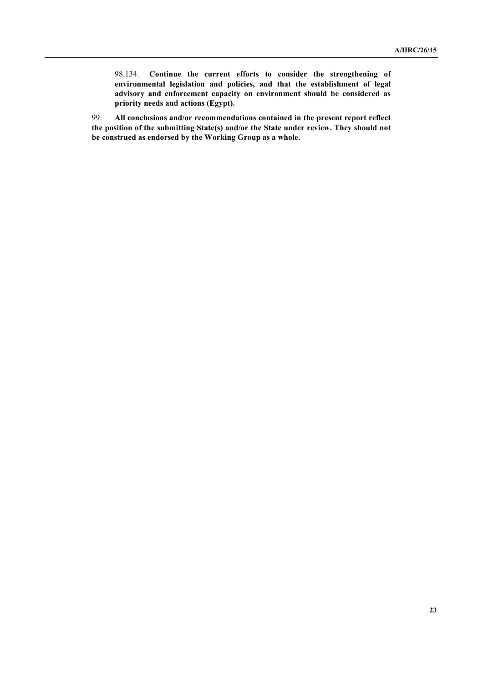98.134. **Continue the current efforts to consider the strengthening of environmental legislation and policies, and that the establishment of legal advisory and enforcement capacity on environment should be considered as priority needs and actions (Egypt).**

99. **All conclusions and/or recommendations contained in the present report reflect the position of the submitting State(s) and/or the State under review. They should not be construed as endorsed by the Working Group as a whole.**